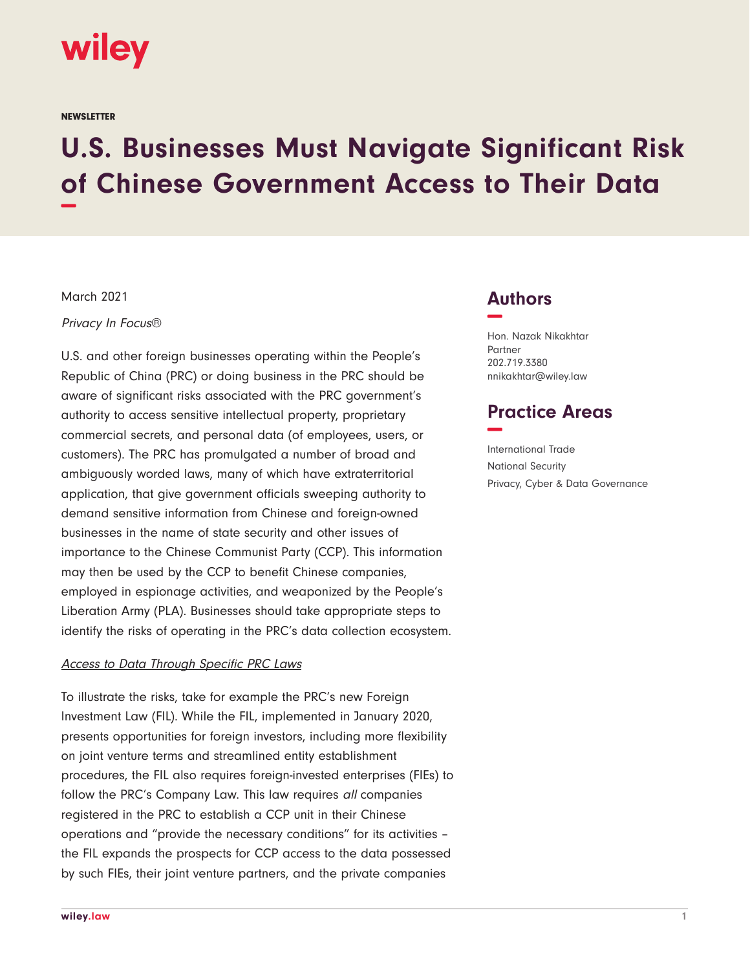

**NEWSLETTER** 

# **U.S. Businesses Must Navigate Significant Risk of Chinese Government Access to Their Data −**

March 2021

Privacy In Focus®

U.S. and other foreign businesses operating within the People's Republic of China (PRC) or doing business in the PRC should be aware of significant risks associated with the PRC government's authority to access sensitive intellectual property, proprietary commercial secrets, and personal data (of employees, users, or customers). The PRC has promulgated a number of broad and ambiguously worded laws, many of which have extraterritorial application, that give government officials sweeping authority to demand sensitive information from Chinese and foreign-owned businesses in the name of state security and other issues of importance to the Chinese Communist Party (CCP). This information may then be used by the CCP to benefit Chinese companies, employed in espionage activities, and weaponized by the People's Liberation Army (PLA). Businesses should take appropriate steps to identify the risks of operating in the PRC's data collection ecosystem.

## Access to Data Through Specific PRC Laws

To illustrate the risks, take for example the PRC's new Foreign Investment Law (FIL). While the FIL, implemented in January 2020, presents opportunities for foreign investors, including more flexibility on joint venture terms and streamlined entity establishment procedures, the FIL also requires foreign-invested enterprises (FIEs) to follow the PRC's Company Law. This law requires all companies registered in the PRC to establish a CCP unit in their Chinese operations and "provide the necessary conditions" for its activities – the FIL expands the prospects for CCP access to the data possessed by such FIEs, their joint venture partners, and the private companies

## **Authors −**

Hon. Nazak Nikakhtar Partner 202.719.3380 nnikakhtar@wiley.law

## **Practice Areas −**

International Trade National Security Privacy, Cyber & Data Governance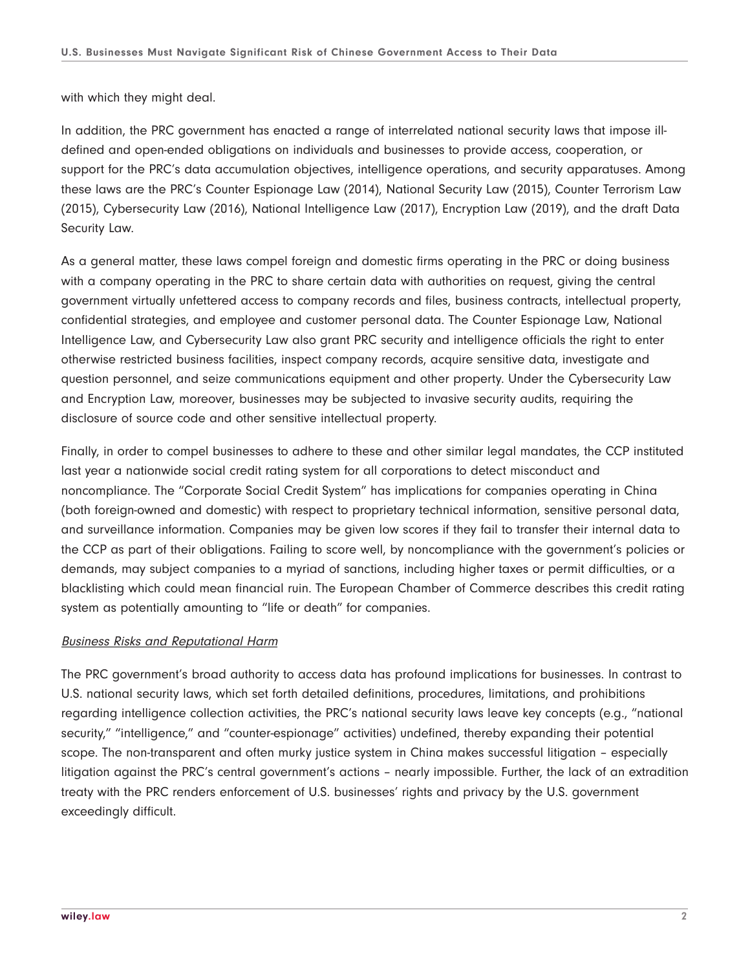with which they might deal.

In addition, the PRC government has enacted a range of interrelated national security laws that impose illdefined and open-ended obligations on individuals and businesses to provide access, cooperation, or support for the PRC's data accumulation objectives, intelligence operations, and security apparatuses. Among these laws are the PRC's Counter Espionage Law (2014), National Security Law (2015), Counter Terrorism Law (2015), Cybersecurity Law (2016), National Intelligence Law (2017), Encryption Law (2019), and the draft Data Security Law.

As a general matter, these laws compel foreign and domestic firms operating in the PRC or doing business with a company operating in the PRC to share certain data with authorities on request, giving the central government virtually unfettered access to company records and files, business contracts, intellectual property, confidential strategies, and employee and customer personal data. The Counter Espionage Law, National Intelligence Law, and Cybersecurity Law also grant PRC security and intelligence officials the right to enter otherwise restricted business facilities, inspect company records, acquire sensitive data, investigate and question personnel, and seize communications equipment and other property. Under the Cybersecurity Law and Encryption Law, moreover, businesses may be subjected to invasive security audits, requiring the disclosure of source code and other sensitive intellectual property.

Finally, in order to compel businesses to adhere to these and other similar legal mandates, the CCP instituted last year a nationwide social credit rating system for all corporations to detect misconduct and noncompliance. The "Corporate Social Credit System" has implications for companies operating in China (both foreign-owned and domestic) with respect to proprietary technical information, sensitive personal data, and surveillance information. Companies may be given low scores if they fail to transfer their internal data to the CCP as part of their obligations. Failing to score well, by noncompliance with the government's policies or demands, may subject companies to a myriad of sanctions, including higher taxes or permit difficulties, or a blacklisting which could mean financial ruin. The European Chamber of Commerce describes this credit rating system as potentially amounting to "life or death" for companies.

## Business Risks and Reputational Harm

The PRC government's broad authority to access data has profound implications for businesses. In contrast to U.S. national security laws, which set forth detailed definitions, procedures, limitations, and prohibitions regarding intelligence collection activities, the PRC's national security laws leave key concepts (e.g., "national security," "intelligence," and "counter-espionage" activities) undefined, thereby expanding their potential scope. The non-transparent and often murky justice system in China makes successful litigation – especially litigation against the PRC's central government's actions – nearly impossible. Further, the lack of an extradition treaty with the PRC renders enforcement of U.S. businesses' rights and privacy by the U.S. government exceedingly difficult.